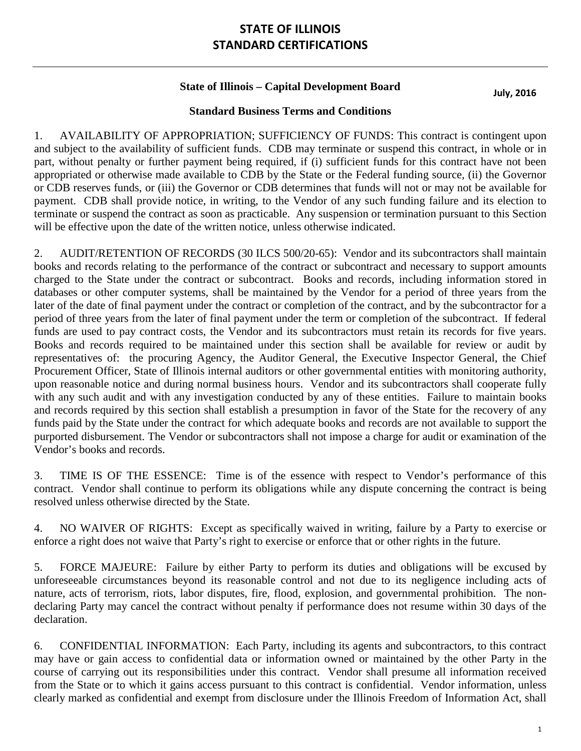# **STATE OF ILLINOIS STANDARD CERTIFICATIONS**

### **State of Illinois – Capital Development Board**

**July, 2016**

#### **Standard Business Terms and Conditions**

1. AVAILABILITY OF APPROPRIATION; SUFFICIENCY OF FUNDS: This contract is contingent upon and subject to the availability of sufficient funds. CDB may terminate or suspend this contract, in whole or in part, without penalty or further payment being required, if (i) sufficient funds for this contract have not been appropriated or otherwise made available to CDB by the State or the Federal funding source, (ii) the Governor or CDB reserves funds, or (iii) the Governor or CDB determines that funds will not or may not be available for payment. CDB shall provide notice, in writing, to the Vendor of any such funding failure and its election to terminate or suspend the contract as soon as practicable. Any suspension or termination pursuant to this Section will be effective upon the date of the written notice, unless otherwise indicated.

2. AUDIT/RETENTION OF RECORDS (30 ILCS 500/20-65): Vendor and its subcontractors shall maintain books and records relating to the performance of the contract or subcontract and necessary to support amounts charged to the State under the contract or subcontract. Books and records, including information stored in databases or other computer systems, shall be maintained by the Vendor for a period of three years from the later of the date of final payment under the contract or completion of the contract, and by the subcontractor for a period of three years from the later of final payment under the term or completion of the subcontract. If federal funds are used to pay contract costs, the Vendor and its subcontractors must retain its records for five years. Books and records required to be maintained under this section shall be available for review or audit by representatives of: the procuring Agency, the Auditor General, the Executive Inspector General, the Chief Procurement Officer, State of Illinois internal auditors or other governmental entities with monitoring authority, upon reasonable notice and during normal business hours. Vendor and its subcontractors shall cooperate fully with any such audit and with any investigation conducted by any of these entities. Failure to maintain books and records required by this section shall establish a presumption in favor of the State for the recovery of any funds paid by the State under the contract for which adequate books and records are not available to support the purported disbursement. The Vendor or subcontractors shall not impose a charge for audit or examination of the Vendor's books and records.

3. TIME IS OF THE ESSENCE: Time is of the essence with respect to Vendor's performance of this contract. Vendor shall continue to perform its obligations while any dispute concerning the contract is being resolved unless otherwise directed by the State.

4. NO WAIVER OF RIGHTS: Except as specifically waived in writing, failure by a Party to exercise or enforce a right does not waive that Party's right to exercise or enforce that or other rights in the future.

5. FORCE MAJEURE: Failure by either Party to perform its duties and obligations will be excused by unforeseeable circumstances beyond its reasonable control and not due to its negligence including acts of nature, acts of terrorism, riots, labor disputes, fire, flood, explosion, and governmental prohibition. The nondeclaring Party may cancel the contract without penalty if performance does not resume within 30 days of the declaration.

6. CONFIDENTIAL INFORMATION: Each Party, including its agents and subcontractors, to this contract may have or gain access to confidential data or information owned or maintained by the other Party in the course of carrying out its responsibilities under this contract. Vendor shall presume all information received from the State or to which it gains access pursuant to this contract is confidential. Vendor information, unless clearly marked as confidential and exempt from disclosure under the Illinois Freedom of Information Act, shall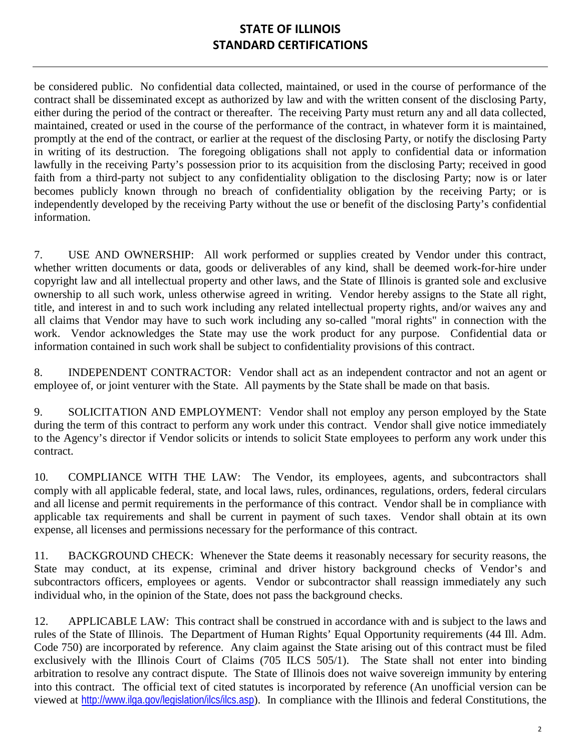## **STATE OF ILLINOIS STANDARD CERTIFICATIONS**

be considered public. No confidential data collected, maintained, or used in the course of performance of the contract shall be disseminated except as authorized by law and with the written consent of the disclosing Party, either during the period of the contract or thereafter. The receiving Party must return any and all data collected, maintained, created or used in the course of the performance of the contract, in whatever form it is maintained, promptly at the end of the contract, or earlier at the request of the disclosing Party, or notify the disclosing Party in writing of its destruction. The foregoing obligations shall not apply to confidential data or information lawfully in the receiving Party's possession prior to its acquisition from the disclosing Party; received in good faith from a third-party not subject to any confidentiality obligation to the disclosing Party; now is or later becomes publicly known through no breach of confidentiality obligation by the receiving Party; or is independently developed by the receiving Party without the use or benefit of the disclosing Party's confidential information.

7. USE AND OWNERSHIP: All work performed or supplies created by Vendor under this contract, whether written documents or data, goods or deliverables of any kind, shall be deemed work-for-hire under copyright law and all intellectual property and other laws, and the State of Illinois is granted sole and exclusive ownership to all such work, unless otherwise agreed in writing. Vendor hereby assigns to the State all right, title, and interest in and to such work including any related intellectual property rights, and/or waives any and all claims that Vendor may have to such work including any so-called "moral rights" in connection with the work. Vendor acknowledges the State may use the work product for any purpose. Confidential data or information contained in such work shall be subject to confidentiality provisions of this contract.

8. INDEPENDENT CONTRACTOR: Vendor shall act as an independent contractor and not an agent or employee of, or joint venturer with the State. All payments by the State shall be made on that basis.

9. SOLICITATION AND EMPLOYMENT: Vendor shall not employ any person employed by the State during the term of this contract to perform any work under this contract. Vendor shall give notice immediately to the Agency's director if Vendor solicits or intends to solicit State employees to perform any work under this contract.

10. COMPLIANCE WITH THE LAW: The Vendor, its employees, agents, and subcontractors shall comply with all applicable federal, state, and local laws, rules, ordinances, regulations, orders, federal circulars and all license and permit requirements in the performance of this contract. Vendor shall be in compliance with applicable tax requirements and shall be current in payment of such taxes. Vendor shall obtain at its own expense, all licenses and permissions necessary for the performance of this contract.

11. BACKGROUND CHECK: Whenever the State deems it reasonably necessary for security reasons, the State may conduct, at its expense, criminal and driver history background checks of Vendor's and subcontractors officers, employees or agents. Vendor or subcontractor shall reassign immediately any such individual who, in the opinion of the State, does not pass the background checks.

12. APPLICABLE LAW: This contract shall be construed in accordance with and is subject to the laws and rules of the State of Illinois. The Department of Human Rights' Equal Opportunity requirements (44 Ill. Adm. Code 750) are incorporated by reference. Any claim against the State arising out of this contract must be filed exclusively with the Illinois Court of Claims (705 ILCS 505/1). The State shall not enter into binding arbitration to resolve any contract dispute. The State of Illinois does not waive sovereign immunity by entering into this contract. The official text of cited statutes is incorporated by reference (An unofficial version can be viewed at <http://www.ilga.gov/legislation/ilcs/ilcs.asp>). In compliance with the Illinois and federal Constitutions, the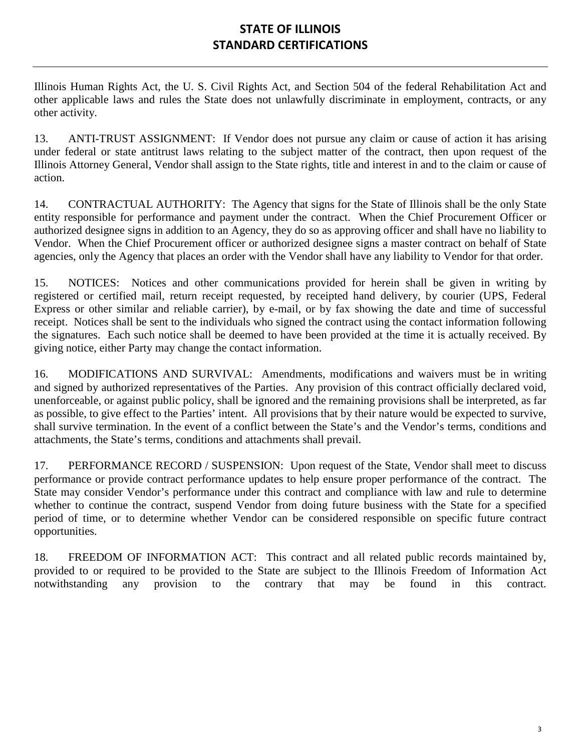## **STATE OF ILLINOIS STANDARD CERTIFICATIONS**

Illinois Human Rights Act, the U. S. Civil Rights Act, and Section 504 of the federal Rehabilitation Act and other applicable laws and rules the State does not unlawfully discriminate in employment, contracts, or any other activity.

13. ANTI-TRUST ASSIGNMENT: If Vendor does not pursue any claim or cause of action it has arising under federal or state antitrust laws relating to the subject matter of the contract, then upon request of the Illinois Attorney General, Vendor shall assign to the State rights, title and interest in and to the claim or cause of action.

14. CONTRACTUAL AUTHORITY: The Agency that signs for the State of Illinois shall be the only State entity responsible for performance and payment under the contract. When the Chief Procurement Officer or authorized designee signs in addition to an Agency, they do so as approving officer and shall have no liability to Vendor. When the Chief Procurement officer or authorized designee signs a master contract on behalf of State agencies, only the Agency that places an order with the Vendor shall have any liability to Vendor for that order.

15. NOTICES: Notices and other communications provided for herein shall be given in writing by registered or certified mail, return receipt requested, by receipted hand delivery, by courier (UPS, Federal Express or other similar and reliable carrier), by e-mail, or by fax showing the date and time of successful receipt. Notices shall be sent to the individuals who signed the contract using the contact information following the signatures. Each such notice shall be deemed to have been provided at the time it is actually received. By giving notice, either Party may change the contact information.

16. MODIFICATIONS AND SURVIVAL: Amendments, modifications and waivers must be in writing and signed by authorized representatives of the Parties. Any provision of this contract officially declared void, unenforceable, or against public policy, shall be ignored and the remaining provisions shall be interpreted, as far as possible, to give effect to the Parties' intent. All provisions that by their nature would be expected to survive, shall survive termination. In the event of a conflict between the State's and the Vendor's terms, conditions and attachments, the State's terms, conditions and attachments shall prevail.

17. PERFORMANCE RECORD / SUSPENSION: Upon request of the State, Vendor shall meet to discuss performance or provide contract performance updates to help ensure proper performance of the contract. The State may consider Vendor's performance under this contract and compliance with law and rule to determine whether to continue the contract, suspend Vendor from doing future business with the State for a specified period of time, or to determine whether Vendor can be considered responsible on specific future contract opportunities.

18. FREEDOM OF INFORMATION ACT: This contract and all related public records maintained by, provided to or required to be provided to the State are subject to the Illinois Freedom of Information Act notwithstanding any provision to the contrary that may be found in this contract.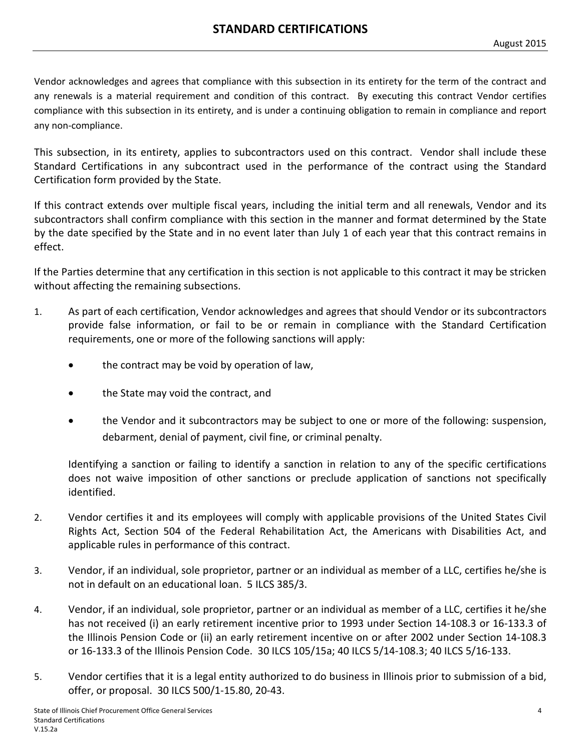Vendor acknowledges and agrees that compliance with this subsection in its entirety for the term of the contract and any renewals is a material requirement and condition of this contract. By executing this contract Vendor certifies compliance with this subsection in its entirety, and is under a continuing obligation to remain in compliance and report any non-compliance.

This subsection, in its entirety, applies to subcontractors used on this contract. Vendor shall include these Standard Certifications in any subcontract used in the performance of the contract using the Standard Certification form provided by the State.

If this contract extends over multiple fiscal years, including the initial term and all renewals, Vendor and its subcontractors shall confirm compliance with this section in the manner and format determined by the State by the date specified by the State and in no event later than July 1 of each year that this contract remains in effect.

If the Parties determine that any certification in this section is not applicable to this contract it may be stricken without affecting the remaining subsections.

- 1. As part of each certification, Vendor acknowledges and agrees that should Vendor or its subcontractors provide false information, or fail to be or remain in compliance with the Standard Certification requirements, one or more of the following sanctions will apply:
	- the contract may be void by operation of law,
	- the State may void the contract, and
	- the Vendor and it subcontractors may be subject to one or more of the following: suspension, debarment, denial of payment, civil fine, or criminal penalty.

Identifying a sanction or failing to identify a sanction in relation to any of the specific certifications does not waive imposition of other sanctions or preclude application of sanctions not specifically identified.

- 2. Vendor certifies it and its employees will comply with applicable provisions of the United States Civil Rights Act, Section 504 of the Federal Rehabilitation Act, the Americans with Disabilities Act, and applicable rules in performance of this contract.
- 3. Vendor, if an individual, sole proprietor, partner or an individual as member of a LLC, certifies he/she is not in default on an educational loan. 5 ILCS 385/3.
- 4. Vendor, if an individual, sole proprietor, partner or an individual as member of a LLC, certifies it he/she has not received (i) an early retirement incentive prior to 1993 under Section 14-108.3 or 16-133.3 of the Illinois Pension Code or (ii) an early retirement incentive on or after 2002 under Section 14-108.3 or 16-133.3 of the Illinois Pension Code. 30 ILCS 105/15a; 40 ILCS 5/14-108.3; 40 ILCS 5/16-133.
- 5. Vendor certifies that it is a legal entity authorized to do business in Illinois prior to submission of a bid, offer, or proposal. 30 ILCS 500/1-15.80, 20-43.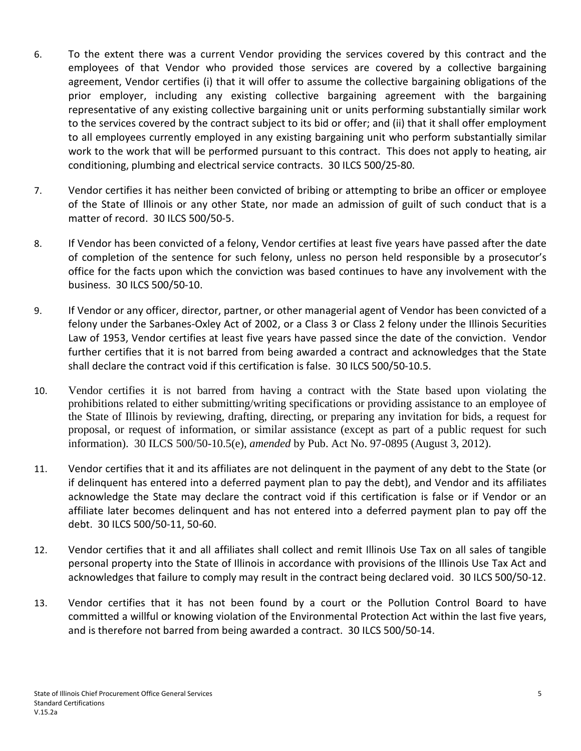- 6. To the extent there was a current Vendor providing the services covered by this contract and the employees of that Vendor who provided those services are covered by a collective bargaining agreement, Vendor certifies (i) that it will offer to assume the collective bargaining obligations of the prior employer, including any existing collective bargaining agreement with the bargaining representative of any existing collective bargaining unit or units performing substantially similar work to the services covered by the contract subject to its bid or offer; and (ii) that it shall offer employment to all employees currently employed in any existing bargaining unit who perform substantially similar work to the work that will be performed pursuant to this contract. This does not apply to heating, air conditioning, plumbing and electrical service contracts. 30 ILCS 500/25-80.
- 7. Vendor certifies it has neither been convicted of bribing or attempting to bribe an officer or employee of the State of Illinois or any other State, nor made an admission of guilt of such conduct that is a matter of record. 30 ILCS 500/50-5.
- 8. If Vendor has been convicted of a felony, Vendor certifies at least five years have passed after the date of completion of the sentence for such felony, unless no person held responsible by a prosecutor's office for the facts upon which the conviction was based continues to have any involvement with the business. 30 ILCS 500/50-10.
- 9. If Vendor or any officer, director, partner, or other managerial agent of Vendor has been convicted of a felony under the Sarbanes-Oxley Act of 2002, or a Class 3 or Class 2 felony under the Illinois Securities Law of 1953, Vendor certifies at least five years have passed since the date of the conviction. Vendor further certifies that it is not barred from being awarded a contract and acknowledges that the State shall declare the contract void if this certification is false. 30 ILCS 500/50-10.5.
- 10. Vendor certifies it is not barred from having a contract with the State based upon violating the prohibitions related to either submitting/writing specifications or providing assistance to an employee of the State of Illinois by reviewing, drafting, directing, or preparing any invitation for bids, a request for proposal, or request of information, or similar assistance (except as part of a public request for such information). 30 ILCS 500/50-10.5(e), *amended* by Pub. Act No. 97-0895 (August 3, 2012).
- 11. Vendor certifies that it and its affiliates are not delinquent in the payment of any debt to the State (or if delinquent has entered into a deferred payment plan to pay the debt), and Vendor and its affiliates acknowledge the State may declare the contract void if this certification is false or if Vendor or an affiliate later becomes delinquent and has not entered into a deferred payment plan to pay off the debt. 30 ILCS 500/50-11, 50-60.
- 12. Vendor certifies that it and all affiliates shall collect and remit Illinois Use Tax on all sales of tangible personal property into the State of Illinois in accordance with provisions of the Illinois Use Tax Act and acknowledges that failure to comply may result in the contract being declared void. 30 ILCS 500/50-12.
- 13. Vendor certifies that it has not been found by a court or the Pollution Control Board to have committed a willful or knowing violation of the Environmental Protection Act within the last five years, and is therefore not barred from being awarded a contract. 30 ILCS 500/50-14.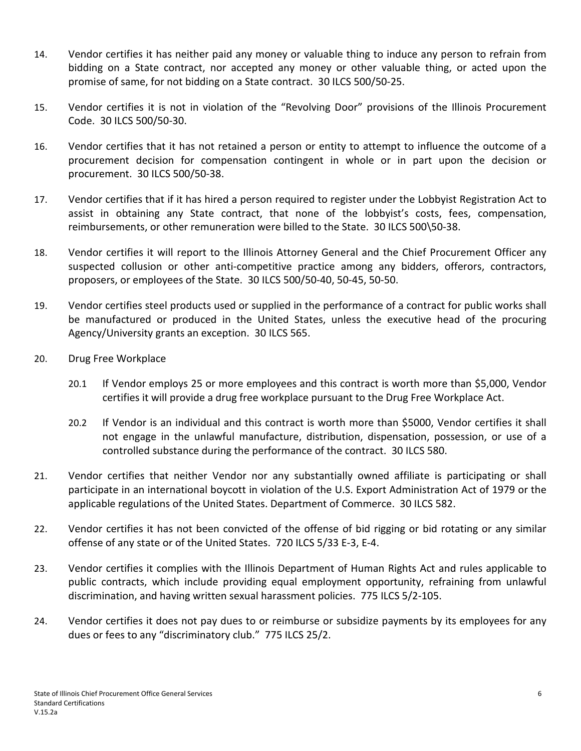- 14. Vendor certifies it has neither paid any money or valuable thing to induce any person to refrain from bidding on a State contract, nor accepted any money or other valuable thing, or acted upon the promise of same, for not bidding on a State contract. 30 ILCS 500/50-25.
- 15. Vendor certifies it is not in violation of the "Revolving Door" provisions of the Illinois Procurement Code. 30 ILCS 500/50-30.
- 16. Vendor certifies that it has not retained a person or entity to attempt to influence the outcome of a procurement decision for compensation contingent in whole or in part upon the decision or procurement. 30 ILCS 500/50-38.
- 17. Vendor certifies that if it has hired a person required to register under the Lobbyist Registration Act to assist in obtaining any State contract, that none of the lobbyist's costs, fees, compensation, reimbursements, or other remuneration were billed to the State. 30 ILCS 500\50-38.
- 18. Vendor certifies it will report to the Illinois Attorney General and the Chief Procurement Officer any suspected collusion or other anti-competitive practice among any bidders, offerors, contractors, proposers, or employees of the State. 30 ILCS 500/50-40, 50-45, 50-50.
- 19. Vendor certifies steel products used or supplied in the performance of a contract for public works shall be manufactured or produced in the United States, unless the executive head of the procuring Agency/University grants an exception. 30 ILCS 565.
- 20. Drug Free Workplace
	- 20.1 If Vendor employs 25 or more employees and this contract is worth more than \$5,000, Vendor certifies it will provide a drug free workplace pursuant to the Drug Free Workplace Act.
	- 20.2 If Vendor is an individual and this contract is worth more than \$5000, Vendor certifies it shall not engage in the unlawful manufacture, distribution, dispensation, possession, or use of a controlled substance during the performance of the contract. 30 ILCS 580.
- 21. Vendor certifies that neither Vendor nor any substantially owned affiliate is participating or shall participate in an international boycott in violation of the U.S. Export Administration Act of 1979 or the applicable regulations of the United States. Department of Commerce. 30 ILCS 582.
- 22. Vendor certifies it has not been convicted of the offense of bid rigging or bid rotating or any similar offense of any state or of the United States. 720 ILCS 5/33 E-3, E-4.
- 23. Vendor certifies it complies with the Illinois Department of Human Rights Act and rules applicable to public contracts, which include providing equal employment opportunity, refraining from unlawful discrimination, and having written sexual harassment policies. 775 ILCS 5/2-105.
- 24. Vendor certifies it does not pay dues to or reimburse or subsidize payments by its employees for any dues or fees to any "discriminatory club." 775 ILCS 25/2.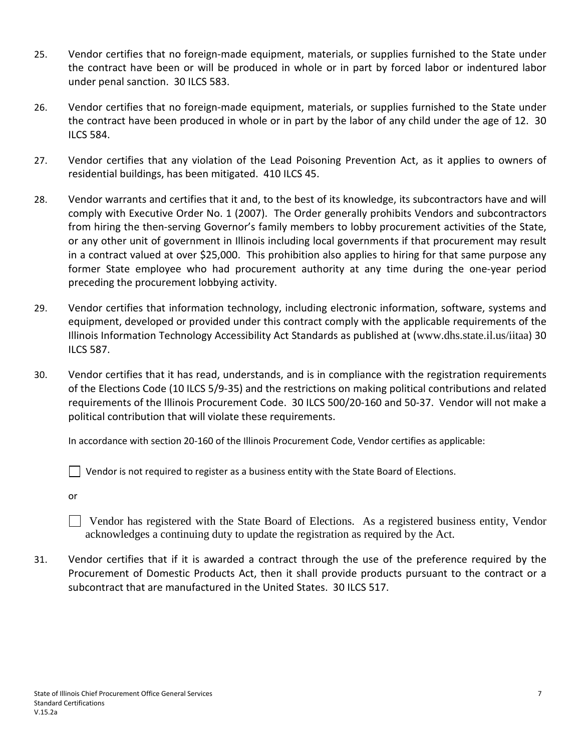- 25. Vendor certifies that no foreign-made equipment, materials, or supplies furnished to the State under the contract have been or will be produced in whole or in part by forced labor or indentured labor under penal sanction. 30 ILCS 583.
- 26. Vendor certifies that no foreign-made equipment, materials, or supplies furnished to the State under the contract have been produced in whole or in part by the labor of any child under the age of 12. 30 ILCS 584.
- 27. Vendor certifies that any violation of the Lead Poisoning Prevention Act, as it applies to owners of residential buildings, has been mitigated. 410 ILCS 45.
- 28. Vendor warrants and certifies that it and, to the best of its knowledge, its subcontractors have and will comply with Executive Order No. 1 (2007). The Order generally prohibits Vendors and subcontractors from hiring the then-serving Governor's family members to lobby procurement activities of the State, or any other unit of government in Illinois including local governments if that procurement may result in a contract valued at over \$25,000. This prohibition also applies to hiring for that same purpose any former State employee who had procurement authority at any time during the one-year period preceding the procurement lobbying activity.
- 29. Vendor certifies that information technology, including electronic information, software, systems and equipment, developed or provided under this contract comply with the applicable requirements of the Illinois Information Technology Accessibility Act Standards as published at ([www.dhs.state.il.us/iitaa](http://www.dhs.state.il.us/iitaa)) 30 ILCS 587.
- 30. Vendor certifies that it has read, understands, and is in compliance with the registration requirements of the Elections Code (10 ILCS 5/9-35) and the restrictions on making political contributions and related requirements of the Illinois Procurement Code. 30 ILCS 500/20-160 and 50-37. Vendor will not make a political contribution that will violate these requirements.

In accordance with section 20-160 of the Illinois Procurement Code, Vendor certifies as applicable:

 $\Box$  Vendor is not required to register as a business entity with the State Board of Elections.

or

 Vendor has registered with the State Board of Elections. As a registered business entity, Vendor acknowledges a continuing duty to update the registration as required by the Act.

31. Vendor certifies that if it is awarded a contract through the use of the preference required by the Procurement of Domestic Products Act, then it shall provide products pursuant to the contract or a subcontract that are manufactured in the United States. 30 ILCS 517.